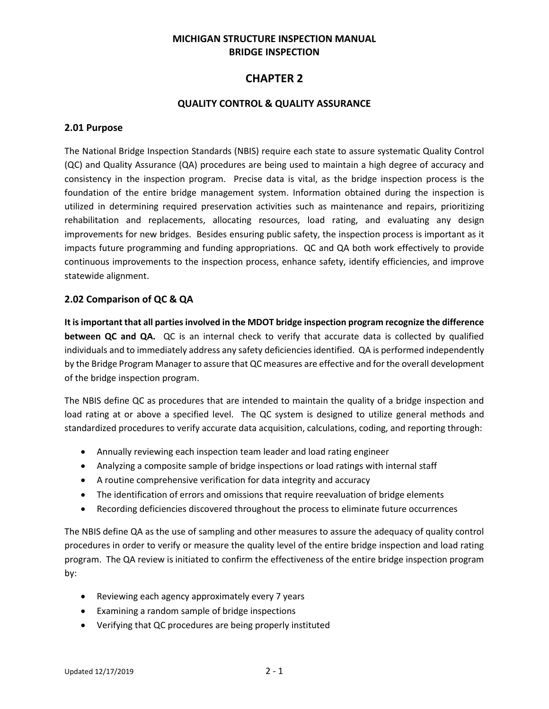### **MICHIGAN STRUCTURE INSPECTION MANUAL BRIDGE INSPECTION**

# **CHAPTER 2**

### **QUALITY CONTROL & QUALITY ASSURANCE**

#### **2.01 Purpose**

The National Bridge Inspection Standards (NBIS) require each state to assure systematic Quality Control (QC) and Quality Assurance (QA) procedures are being used to maintain a high degree of accuracy and consistency in the inspection program. Precise data is vital, as the bridge inspection process is the foundation of the entire bridge management system. Information obtained during the inspection is utilized in determining required preservation activities such as maintenance and repairs, prioritizing rehabilitation and replacements, allocating resources, load rating, and evaluating any design improvements for new bridges. Besides ensuring public safety, the inspection process is important as it impacts future programming and funding appropriations. QC and QA both work effectively to provide continuous improvements to the inspection process, enhance safety, identify efficiencies, and improve statewide alignment.

### **2.02 Comparison of QC & QA**

**It is important that all parties involved in the MDOT bridge inspection program recognize the difference between QC and QA.** QC is an internal check to verify that accurate data is collected by qualified individuals and to immediately address any safety deficiencies identified. QA is performed independently by the Bridge Program Manager to assure that QC measures are effective and for the overall development of the bridge inspection program.

The NBIS define QC as procedures that are intended to maintain the quality of a bridge inspection and load rating at or above a specified level. The QC system is designed to utilize general methods and standardized procedures to verify accurate data acquisition, calculations, coding, and reporting through:

- Annually reviewing each inspection team leader and load rating engineer
- Analyzing a composite sample of bridge inspections or load ratings with internal staff
- A routine comprehensive verification for data integrity and accuracy
- The identification of errors and omissions that require reevaluation of bridge elements
- Recording deficiencies discovered throughout the process to eliminate future occurrences

The NBIS define QA as the use of sampling and other measures to assure the adequacy of quality control procedures in order to verify or measure the quality level of the entire bridge inspection and load rating program. The QA review is initiated to confirm the effectiveness of the entire bridge inspection program by:

- Reviewing each agency approximately every 7 years
- Examining a random sample of bridge inspections
- Verifying that QC procedures are being properly instituted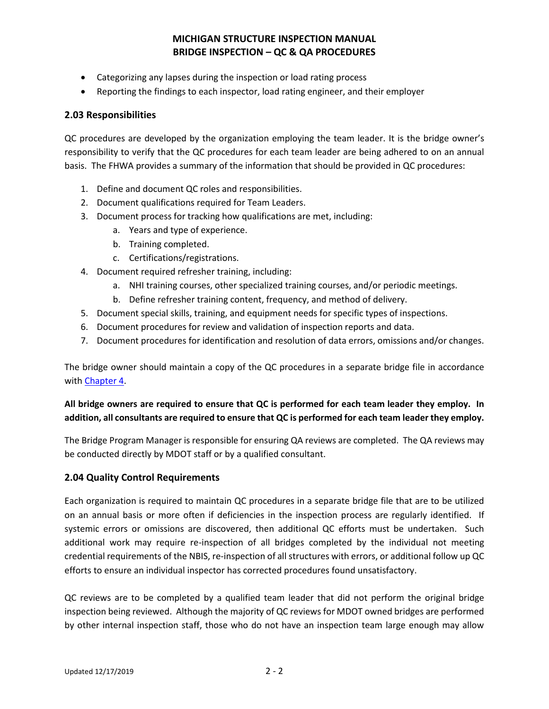- Categorizing any lapses during the inspection or load rating process
- Reporting the findings to each inspector, load rating engineer, and their employer

### **2.03 Responsibilities**

QC procedures are developed by the organization employing the team leader. It is the bridge owner's responsibility to verify that the QC procedures for each team leader are being adhered to on an annual basis. The FHWA provides a summary of the information that should be provided in QC procedures:

- 1. Define and document QC roles and responsibilities.
- 2. Document qualifications required for Team Leaders.
- 3. Document process for tracking how qualifications are met, including:
	- a. Years and type of experience.
	- b. Training completed.
	- c. Certifications/registrations.
- 4. Document required refresher training, including:
	- a. NHI training courses, other specialized training courses, and/or periodic meetings.
	- b. Define refresher training content, frequency, and method of delivery.
- 5. Document special skills, training, and equipment needs for specific types of inspections.
- 6. Document procedures for review and validation of inspection reports and data.
- 7. Document procedures for identification and resolution of data errors, omissions and/or changes.

The bridge owner should maintain a copy of the QC procedures in a separate bridge file in accordance with [Chapter 4.](https://www.michigan.gov/mdot/0,4616,7-151-9625_24768_24773_59525-326737--,00.html)

### **All bridge owners are required to ensure that QC is performed for each team leader they employ. In addition, all consultants are required to ensure that QC is performed for each team leader they employ.**

The Bridge Program Manager is responsible for ensuring QA reviews are completed. The QA reviews may be conducted directly by MDOT staff or by a qualified consultant.

### **2.04 Quality Control Requirements**

Each organization is required to maintain QC procedures in a separate bridge file that are to be utilized on an annual basis or more often if deficiencies in the inspection process are regularly identified. If systemic errors or omissions are discovered, then additional QC efforts must be undertaken. Such additional work may require re-inspection of all bridges completed by the individual not meeting credential requirements of the NBIS, re-inspection of all structures with errors, or additional follow up QC efforts to ensure an individual inspector has corrected procedures found unsatisfactory.

QC reviews are to be completed by a qualified team leader that did not perform the original bridge inspection being reviewed. Although the majority of QC reviews for MDOT owned bridges are performed by other internal inspection staff, those who do not have an inspection team large enough may allow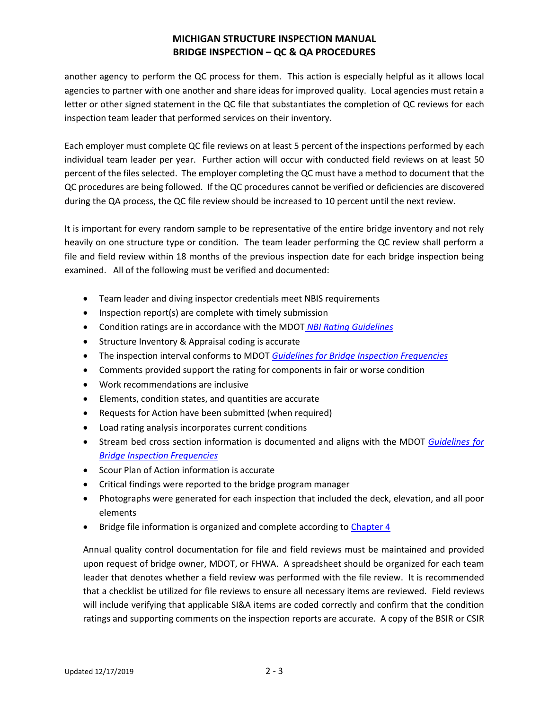another agency to perform the QC process for them. This action is especially helpful as it allows local agencies to partner with one another and share ideas for improved quality. Local agencies must retain a letter or other signed statement in the QC file that substantiates the completion of QC reviews for each inspection team leader that performed services on their inventory.

Each employer must complete QC file reviews on at least 5 percent of the inspections performed by each individual team leader per year. Further action will occur with conducted field reviews on at least 50 percent of the files selected. The employer completing the QC must have a method to document that the QC procedures are being followed. If the QC procedures cannot be verified or deficiencies are discovered during the QA process, the QC file review should be increased to 10 percent until the next review.

It is important for every random sample to be representative of the entire bridge inventory and not rely heavily on one structure type or condition. The team leader performing the QC review shall perform a file and field review within 18 months of the previous inspection date for each bridge inspection being examined. All of the following must be verified and documented:

- Team leader and diving inspector credentials meet NBIS requirements
- Inspection report(s) are complete with timely submission
- Condition ratings are in accordance with the MDOT *[NBI Rating Guidelines](http://www.michigan.gov/bridgeinspect)*
- Structure Inventory & Appraisal coding is accurate
- The inspection interval conforms to MDOT *[Guidelines for Bridge Inspection Frequencies](http://www.michigan.gov/bridgeinspect)*
- Comments provided support the rating for components in fair or worse condition
- Work recommendations are inclusive
- Elements, condition states, and quantities are accurate
- Requests for Action have been submitted (when required)
- Load rating analysis incorporates current conditions
- Stream bed cross section information is documented and aligns with the MDOT *[Guidelines for](http://www.michigan.gov/bridgeinspect)  [Bridge Inspection Frequencies](http://www.michigan.gov/bridgeinspect)*
- Scour Plan of Action information is accurate
- Critical findings were reported to the bridge program manager
- Photographs were generated for each inspection that included the deck, elevation, and all poor elements
- Bridge file information is organized and complete according t[o Chapter 4](http://www.michigan.gov/mdot/0,4616,7-151-9625_24768_24773-326737--,00.html)

Annual quality control documentation for file and field reviews must be maintained and provided upon request of bridge owner, MDOT, or FHWA. A spreadsheet should be organized for each team leader that denotes whether a field review was performed with the file review. It is recommended that a checklist be utilized for file reviews to ensure all necessary items are reviewed. Field reviews will include verifying that applicable SI&A items are coded correctly and confirm that the condition ratings and supporting comments on the inspection reports are accurate. A copy of the BSIR or CSIR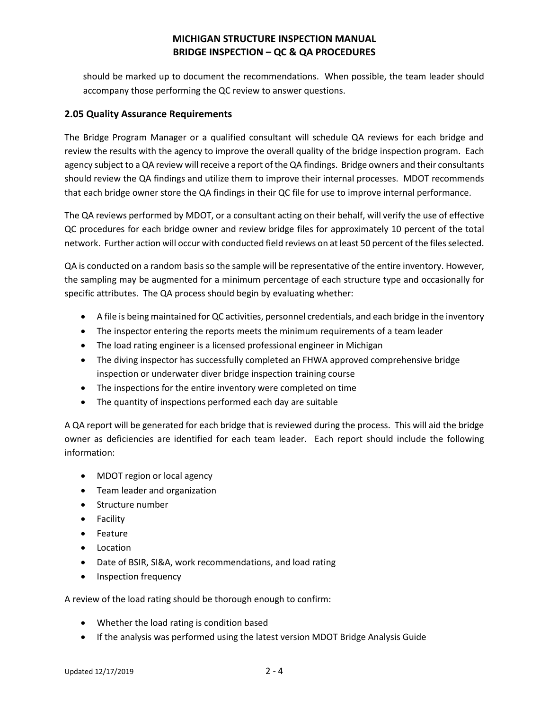should be marked up to document the recommendations. When possible, the team leader should accompany those performing the QC review to answer questions.

### **2.05 Quality Assurance Requirements**

The Bridge Program Manager or a qualified consultant will schedule QA reviews for each bridge and review the results with the agency to improve the overall quality of the bridge inspection program. Each agency subject to a QA review will receive a report of the QA findings. Bridge owners and their consultants should review the QA findings and utilize them to improve their internal processes. MDOT recommends that each bridge owner store the QA findings in their QC file for use to improve internal performance.

The QA reviews performed by MDOT, or a consultant acting on their behalf, will verify the use of effective QC procedures for each bridge owner and review bridge files for approximately 10 percent of the total network. Further action will occur with conducted field reviews on at least 50 percent of the files selected.

QA is conducted on a random basis so the sample will be representative of the entire inventory. However, the sampling may be augmented for a minimum percentage of each structure type and occasionally for specific attributes. The QA process should begin by evaluating whether:

- A file is being maintained for QC activities, personnel credentials, and each bridge in the inventory
- The inspector entering the reports meets the minimum requirements of a team leader
- The load rating engineer is a licensed professional engineer in Michigan
- The diving inspector has successfully completed an FHWA approved comprehensive bridge inspection or underwater diver bridge inspection training course
- The inspections for the entire inventory were completed on time
- The quantity of inspections performed each day are suitable

A QA report will be generated for each bridge that is reviewed during the process. This will aid the bridge owner as deficiencies are identified for each team leader. Each report should include the following information:

- MDOT region or local agency
- Team leader and organization
- Structure number
- Facility
- Feature
- Location
- Date of BSIR, SI&A, work recommendations, and load rating
- Inspection frequency

A review of the load rating should be thorough enough to confirm:

- Whether the load rating is condition based
- If the analysis was performed using the latest version MDOT Bridge Analysis Guide